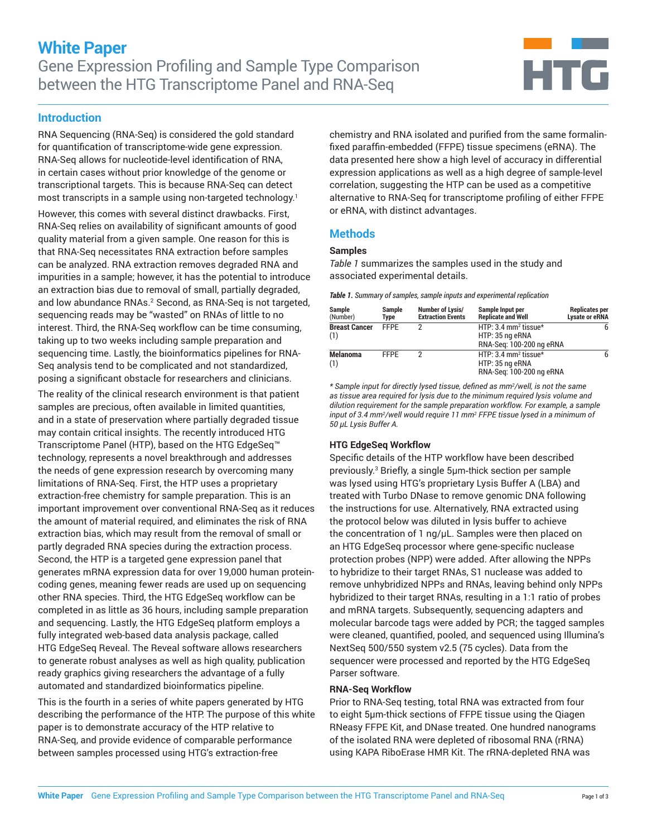

# **Introduction**

RNA Sequencing (RNA-Seq) is considered the gold standard for quantification of transcriptome-wide gene expression. RNA-Seq allows for nucleotide-level identification of RNA, in certain cases without prior knowledge of the genome or transcriptional targets. This is because RNA-Seq can detect most transcripts in a sample using non-targeted technology.<sup>1</sup>

However, this comes with several distinct drawbacks. First, RNA-Seq relies on availability of significant amounts of good quality material from a given sample. One reason for this is that RNA-Seq necessitates RNA extraction before samples can be analyzed. RNA extraction removes degraded RNA and impurities in a sample; however, it has the potential to introduce an extraction bias due to removal of small, partially degraded, and low abundance RNAs.<sup>2</sup> Second, as RNA-Seq is not targeted, sequencing reads may be "wasted" on RNAs of little to no interest. Third, the RNA-Seq workflow can be time consuming, taking up to two weeks including sample preparation and sequencing time. Lastly, the bioinformatics pipelines for RNA-Seq analysis tend to be complicated and not standardized, posing a significant obstacle for researchers and clinicians.

The reality of the clinical research environment is that patient samples are precious, often available in limited quantities, and in a state of preservation where partially degraded tissue may contain critical insights. The recently introduced HTG Transcriptome Panel (HTP), based on the HTG EdgeSeq™ technology, represents a novel breakthrough and addresses the needs of gene expression research by overcoming many limitations of RNA-Seq. First, the HTP uses a proprietary extraction-free chemistry for sample preparation. This is an important improvement over conventional RNA-Seq as it reduces the amount of material required, and eliminates the risk of RNA extraction bias, which may result from the removal of small or partly degraded RNA species during the extraction process. Second, the HTP is a targeted gene expression panel that generates mRNA expression data for over 19,000 human proteincoding genes, meaning fewer reads are used up on sequencing other RNA species. Third, the HTG EdgeSeq workflow can be completed in as little as 36 hours, including sample preparation and sequencing. Lastly, the HTG EdgeSeq platform employs a fully integrated web-based data analysis package, called HTG EdgeSeq Reveal. The Reveal software allows researchers to generate robust analyses as well as high quality, publication ready graphics giving researchers the advantage of a fully automated and standardized bioinformatics pipeline.

This is the fourth in a series of white papers generated by HTG describing the performance of the HTP. The purpose of this white paper is to demonstrate accuracy of the HTP relative to RNA-Seq, and provide evidence of comparable performance between samples processed using HTG's extraction-free

chemistry and RNA isolated and purified from the same formalinfixed paraffin-embedded (FFPE) tissue specimens (eRNA). The data presented here show a high level of accuracy in differential expression applications as well as a high degree of sample-level correlation, suggesting the HTP can be used as a competitive alternative to RNA-Seq for transcriptome profiling of either FFPE or eRNA, with distinct advantages.

# **Methods**

### **Samples**

*Table 1* summarizes the samples used in the study and associated experimental details.

*Table 1. Summary of samples, sample inputs and experimental replication*

| Sample<br>(Number)          | Sample<br>Type | Number of Lysis/<br><b>Extraction Events</b> | Sample Input per<br><b>Replicate and Well</b>                                   | <b>Replicates per</b><br>Lysate or eRNA |
|-----------------------------|----------------|----------------------------------------------|---------------------------------------------------------------------------------|-----------------------------------------|
| <b>Breast Cancer</b><br>(1) | <b>FFPF</b>    |                                              | HTP: 3.4 mm <sup>2</sup> tissue*<br>HTP: 35 ng eRNA<br>RNA-Seg: 100-200 ng eRNA |                                         |
| <b>Melanoma</b><br>(1)      | <b>FFPE</b>    |                                              | HTP: 3.4 mm <sup>2</sup> tissue*<br>HTP: 35 ng eRNA<br>RNA-Seg: 100-200 ng eRNA |                                         |

*\* Sample input for directly lysed tissue, defined as mm<sup>2</sup> /well, is not the same as tissue area required for lysis due to the minimum required lysis volume and dilution requirement for the sample preparation workflow. For example, a sample input of 3.4 mm2 /well would require 11 mm2 FFPE tissue lysed in a minimum of 50 µL Lysis Buffer A.* 

### **HTG EdgeSeq Workflow**

Specific details of the HTP workflow have been described previously.3 Briefly, a single 5µm-thick section per sample was lysed using HTG's proprietary Lysis Buffer A (LBA) and treated with Turbo DNase to remove genomic DNA following the instructions for use. Alternatively, RNA extracted using the protocol below was diluted in lysis buffer to achieve the concentration of 1 ng/µL. Samples were then placed on an HTG EdgeSeq processor where gene-specific nuclease protection probes (NPP) were added. After allowing the NPPs to hybridize to their target RNAs, S1 nuclease was added to remove unhybridized NPPs and RNAs, leaving behind only NPPs hybridized to their target RNAs, resulting in a 1:1 ratio of probes and mRNA targets. Subsequently, sequencing adapters and molecular barcode tags were added by PCR; the tagged samples were cleaned, quantified, pooled, and sequenced using Illumina's NextSeq 500/550 system v2.5 (75 cycles). Data from the sequencer were processed and reported by the HTG EdgeSeq Parser software.

#### **RNA-Seq Workflow**

Prior to RNA-Seq testing, total RNA was extracted from four to eight 5µm-thick sections of FFPE tissue using the Qiagen RNeasy FFPE Kit, and DNase treated. One hundred nanograms of the isolated RNA were depleted of ribosomal RNA (rRNA) using KAPA RiboErase HMR Kit. The rRNA-depleted RNA was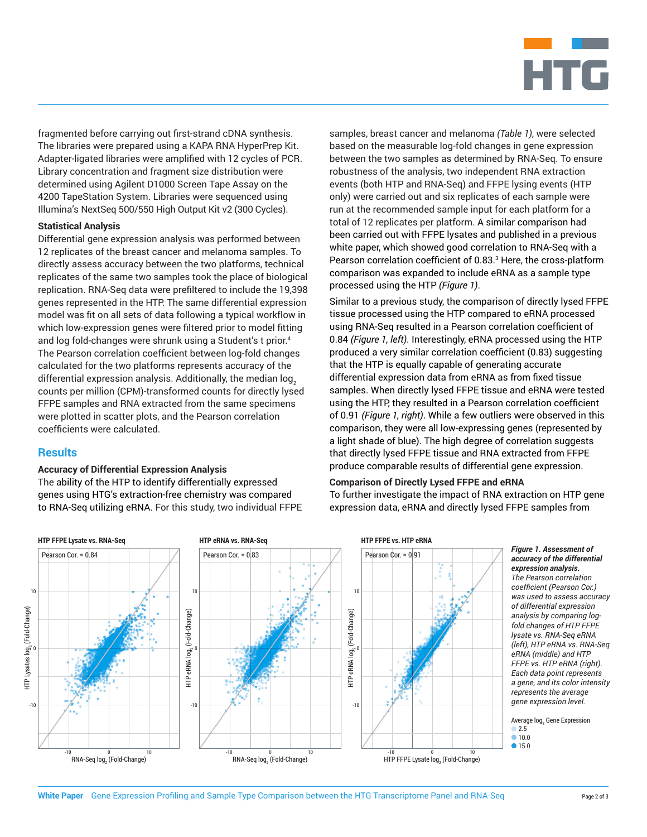

fragmented before carrying out first-strand cDNA synthesis. The libraries were prepared using a KAPA RNA HyperPrep Kit. Adapter-ligated libraries were amplified with 12 cycles of PCR. Library concentration and fragment size distribution were determined using Agilent D1000 Screen Tape Assay on the 4200 TapeStation System. Libraries were sequenced using Illumina's NextSeq 500/550 High Output Kit v2 (300 Cycles).

#### **Statistical Analysis**

Differential gene expression analysis was performed between 12 replicates of the breast cancer and melanoma samples. To directly assess accuracy between the two platforms, technical replicates of the same two samples took the place of biological replication. RNA-Seq data were prefiltered to include the 19,398 genes represented in the HTP. The same differential expression model was fit on all sets of data following a typical workflow in which low-expression genes were filtered prior to model fitting and log fold-changes were shrunk using a Student's t prior.<sup>4</sup> The Pearson correlation coefficient between log-fold changes calculated for the two platforms represents accuracy of the differential expression analysis. Additionally, the median log, counts per million (CPM)-transformed counts for directly lysed FFPE samples and RNA extracted from the same specimens were plotted in scatter plots, and the Pearson correlation coefficients were calculated.

## **Results**

#### **Accuracy of Differential Expression Analysis**

The ability of the HTP to identify differentially expressed genes using HTG's extraction-free chemistry was compared to RNA-Seq utilizing eRNA. For this study, two individual FFPE samples, breast cancer and melanoma *(Table 1)*, were selected based on the measurable log-fold changes in gene expression between the two samples as determined by RNA-Seq. To ensure robustness of the analysis, two independent RNA extraction events (both HTP and RNA-Seq) and FFPE lysing events (HTP only) were carried out and six replicates of each sample were run at the recommended sample input for each platform for a total of 12 replicates per platform. A similar comparison had been carried out with FFPE lysates and published in a previous white paper, which showed good correlation to RNA-Seq with a Pearson correlation coefficient of 0.83.3 Here, the cross-platform comparison was expanded to include eRNA as a sample type processed using the HTP *(Figure 1)*.

Similar to a previous study, the comparison of directly lysed FFPE tissue processed using the HTP compared to eRNA processed using RNA-Seq resulted in a Pearson correlation coefficient of 0.84 *(Figure 1, left)*. Interestingly, eRNA processed using the HTP produced a very similar correlation coefficient (0.83) suggesting that the HTP is equally capable of generating accurate differential expression data from eRNA as from fixed tissue samples. When directly lysed FFPE tissue and eRNA were tested using the HTP, they resulted in a Pearson correlation coefficient of 0.91 *(Figure 1, right)*. While a few outliers were observed in this comparison, they were all low-expressing genes (represented by a light shade of blue). The high degree of correlation suggests that directly lysed FFPE tissue and RNA extracted from FFPE produce comparable results of differential gene expression.

### **Comparison of Directly Lysed FFPE and eRNA**

To further investigate the impact of RNA extraction on HTP gene expression data, eRNA and directly lysed FFPE samples from



*accuracy of the differential expression analysis. The Pearson correlation coefficient (Pearson Cor.) was used to assess accuracy of differential expression analysis by comparing logfold changes of HTP FFPE lysate vs. RNA-Seq eRNA (left), HTP eRNA vs. RNA-Seq eRNA (middle) and HTP FFPE vs. HTP eRNA (right). Each data point represents a gene, and its color intensity represents the average gene expression level.*

Average log<sub>2</sub> Gene Expression